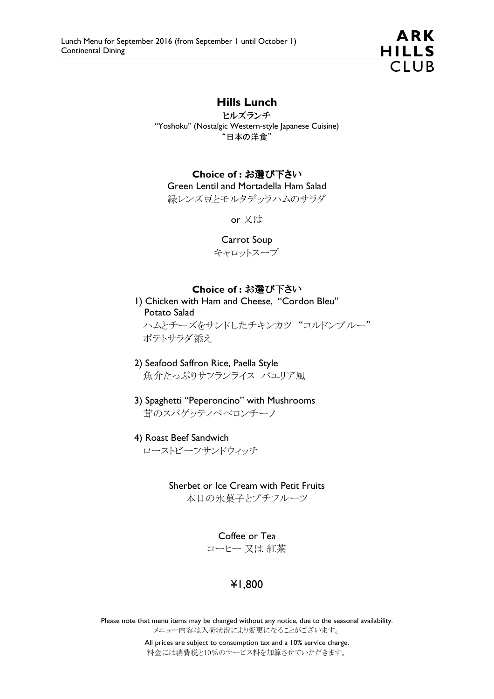

### Hills Lunch

ヒルズランチ "Yoshoku" (Nostalgic Western-style Japanese Cuisine) "日本の洋食"

#### Choice of : お選び下さい

Green Lentil and Mortadella Ham Salad 緑レンズ豆とモルタデッラハムのサラダ

or 又は

#### Carrot Soup

キャロットスープ

#### Choice of : お選び下さい

1) Chicken with Ham and Cheese, "Cordon Bleu" Potato Salad ハムとチーズをサンドしたチキンカツ "コルドンブルー" ポテトサラダ添え

- 2) Seafood Saffron Rice, Paella Style 魚介たっぷりサフランライス パエリア風
- 3) Spaghetti "Peperoncino" with Mushrooms 茸のスパゲッティペペロンチーノ
- 4) Roast Beef Sandwich

ローストビーフサンドウィッチ

#### Sherbet or Ice Cream with Petit Fruits

本日の氷菓子とプチフルーツ

Coffee or Tea

コーヒー 又は 紅茶

## ¥1,800

Please note that menu items may be changed without any notice, due to the seasonal availability. メニュー内容は入荷状況により変更になることがございます。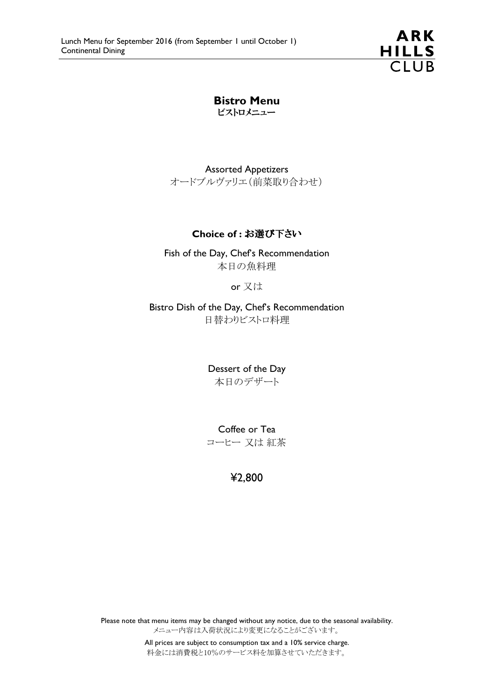**ARK** HILLS<br>CLUB

Bistro Menu ビストロメニュー

Assorted Appetizers オードブルヴァリエ(前菜取り合わせ)

#### Choice of : お選び下さい

Fish of the Day, Chef's Recommendation 本日の魚料理

or 又は

Bistro Dish of the Day, Chef's Recommendation 日替わりビストロ料理

> Dessert of the Day 本日のデザート

> Coffee or Tea コーヒー 又は 紅茶

> > ¥2,800

Please note that menu items may be changed without any notice, due to the seasonal availability. メニュー内容は入荷状況により変更になることがございます。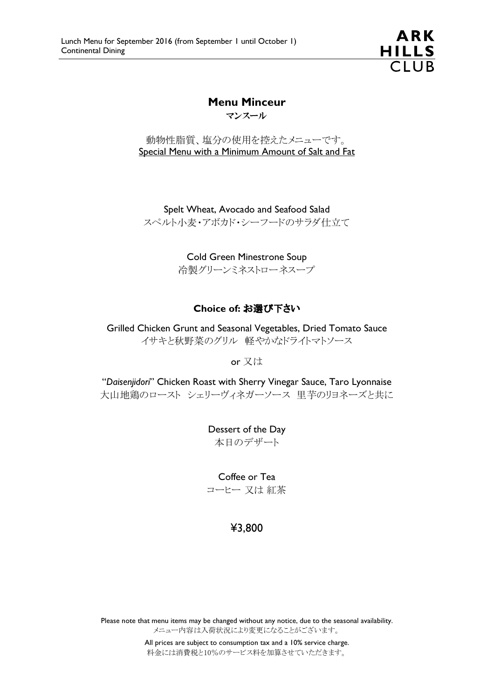

# Menu Minceur

マンスール

動物性脂質、塩分の使用を控えたメニューです。 Special Menu with a Minimum Amount of Salt and Fat

Spelt Wheat, Avocado and Seafood Salad スペルト小麦・アボカド・シーフードのサラダ仕立て

> Cold Green Minestrone Soup 冷製グリーンミネストローネスープ

### Choice of: お選び下さい

Grilled Chicken Grunt and Seasonal Vegetables, Dried Tomato Sauce イサキと秋野菜のグリル 軽やかなドライトマトソース

or 又は

"Daisenjidori" Chicken Roast with Sherry Vinegar Sauce, Taro Lyonnaise 大山地鶏のロースト シェリーヴィネガーソース 里芋のリヨネーズと共に

> Dessert of the Day 本日のデザート

> Coffee or Tea コーヒー 又は 紅茶

## ¥3,800

Please note that menu items may be changed without any notice, due to the seasonal availability. メニュー内容は入荷状況により変更になることがございます。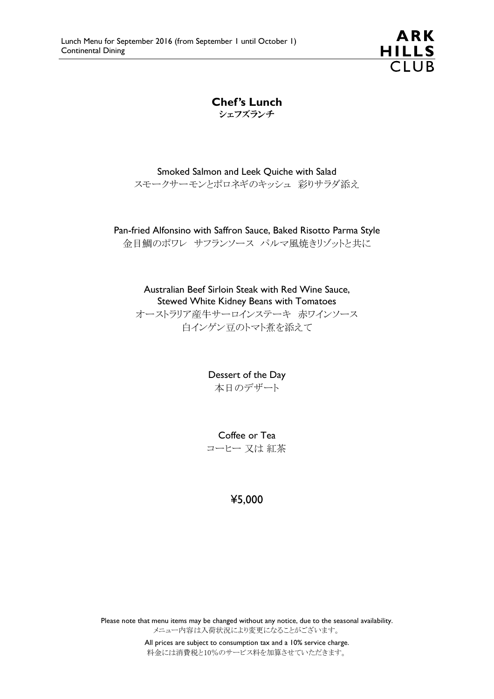ARK HILLS<br>CLUB

Chef's Lunch シェフズランチ

Smoked Salmon and Leek Quiche with Salad スモークサーモンとポロネギのキッシュ 彩りサラダ添え

Pan-fried Alfonsino with Saffron Sauce, Baked Risotto Parma Style

金目鯛のポワレ サフランソース パルマ風焼きリゾットと共に

Australian Beef Sirloin Steak with Red Wine Sauce, Stewed White Kidney Beans with Tomatoes オーストラリア産牛サーロインステーキ 赤ワインソース 白インゲン豆のトマト煮を添えて

> Dessert of the Day 本日のデザート

> Coffee or Tea コーヒー 又は 紅茶

> > ¥5,000

Please note that menu items may be changed without any notice, due to the seasonal availability. メニュー内容は入荷状況により変更になることがございます。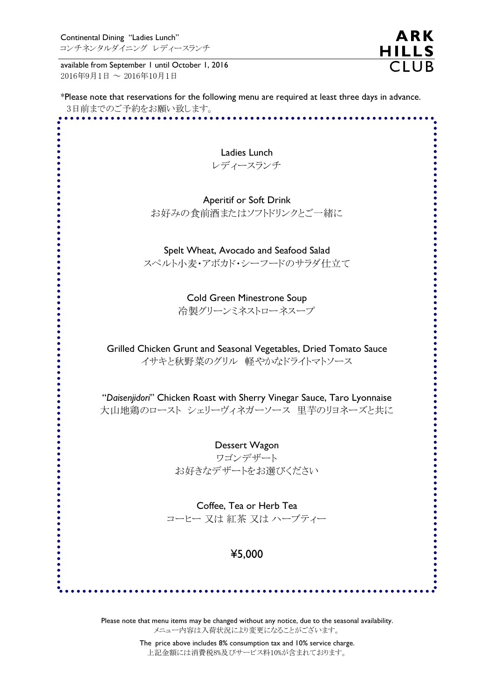available from September 1 until October 1, 2016 2016年9月1日 ~ 2016年10月1日

\*Please note that reservations for the following menu are required at least three days in advance. 3日前までのご予約をお願い致します。

**ARK** 

HILLS<br>CLUB

| Ladies Lunch                                                           |
|------------------------------------------------------------------------|
| レディースランチ                                                               |
|                                                                        |
| <b>Aperitif or Soft Drink</b>                                          |
| お好みの食前酒またはソフトドリンクとご一緒に                                                 |
| Spelt Wheat, Avocado and Seafood Salad                                 |
| スペルト小麦・アボカド・シーフードのサラダ仕立て                                               |
|                                                                        |
| <b>Cold Green Minestrone Soup</b>                                      |
| 冷製グリーンミネストローネスープ                                                       |
| Grilled Chicken Grunt and Seasonal Vegetables, Dried Tomato Sauce      |
| イサキと秋野菜のグリル 軽やかなドライトマトソース                                              |
| "Daisenjidori" Chicken Roast with Sherry Vinegar Sauce, Taro Lyonnaise |
| 大山地鶏のロースト シェリーヴィネガーソース 里芋のリヨネーズと共に                                     |
| Dessert Wagon                                                          |
| ワゴンデザート                                                                |
| お好きなデザートをお選びください                                                       |
| Coffee, Tea or Herb Tea                                                |
| コーヒー 又は 紅茶 又は ハーブティー                                                   |
|                                                                        |
| ¥5,000                                                                 |
|                                                                        |

Please note that menu items may be changed without any notice, due to the seasonal availability. メニュー内容は入荷状況により変更になることがございます。

 The price above includes 8% consumption tax and 10% service charge. 上記金額には消費税8%及びサービス料10%が含まれております。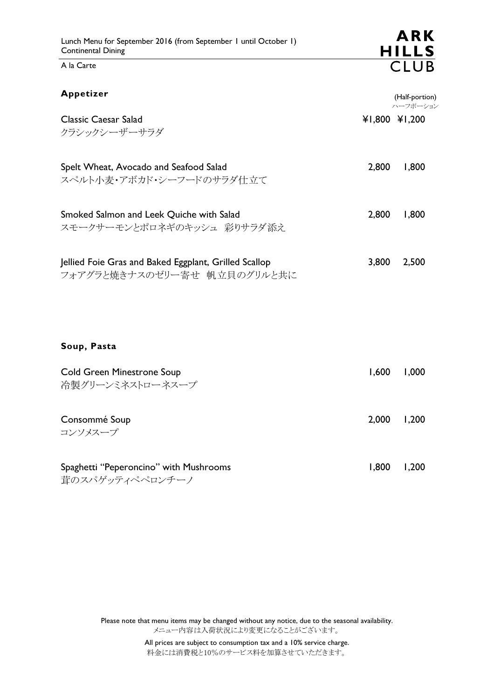A la Carte

| Appetizer                                                                            |               | (Half-portion)<br>ハーフポーション |
|--------------------------------------------------------------------------------------|---------------|----------------------------|
| Classic Caesar Salad<br>クラシックシーザーサラダ                                                 | ¥1,800 ¥1,200 |                            |
| Spelt Wheat, Avocado and Seafood Salad<br>スペルト小麦・アボカド・シーフードのサラダ仕立て                   | 2,800         | 1,800                      |
| Smoked Salmon and Leek Quiche with Salad<br>スモークサーモンとポロネギのキッシュ 彩りサラダ添え               | 2,800         | 1,800                      |
| Jellied Foie Gras and Baked Eggplant, Grilled Scallop<br>フォアグラと焼きナスのゼリー寄せ 帆立貝のグリルと共に | 3,800         | 2,500                      |

Soup, Pasta

| Cold Green Minestrone Soup<br>冷製グリーンミネストローネスープ            | 1.600 | 1,000 |
|-----------------------------------------------------------|-------|-------|
| Consommé Soup<br>コンソメスープ                                  | 2,000 | 1,200 |
| Spaghetti "Peperoncino" with Mushrooms<br>茸のスパゲッティペペロンチーノ | 1.800 | 1,200 |

Please note that menu items may be changed without any notice, due to the seasonal availability. メニュー内容は入荷状況により変更になることがございます。